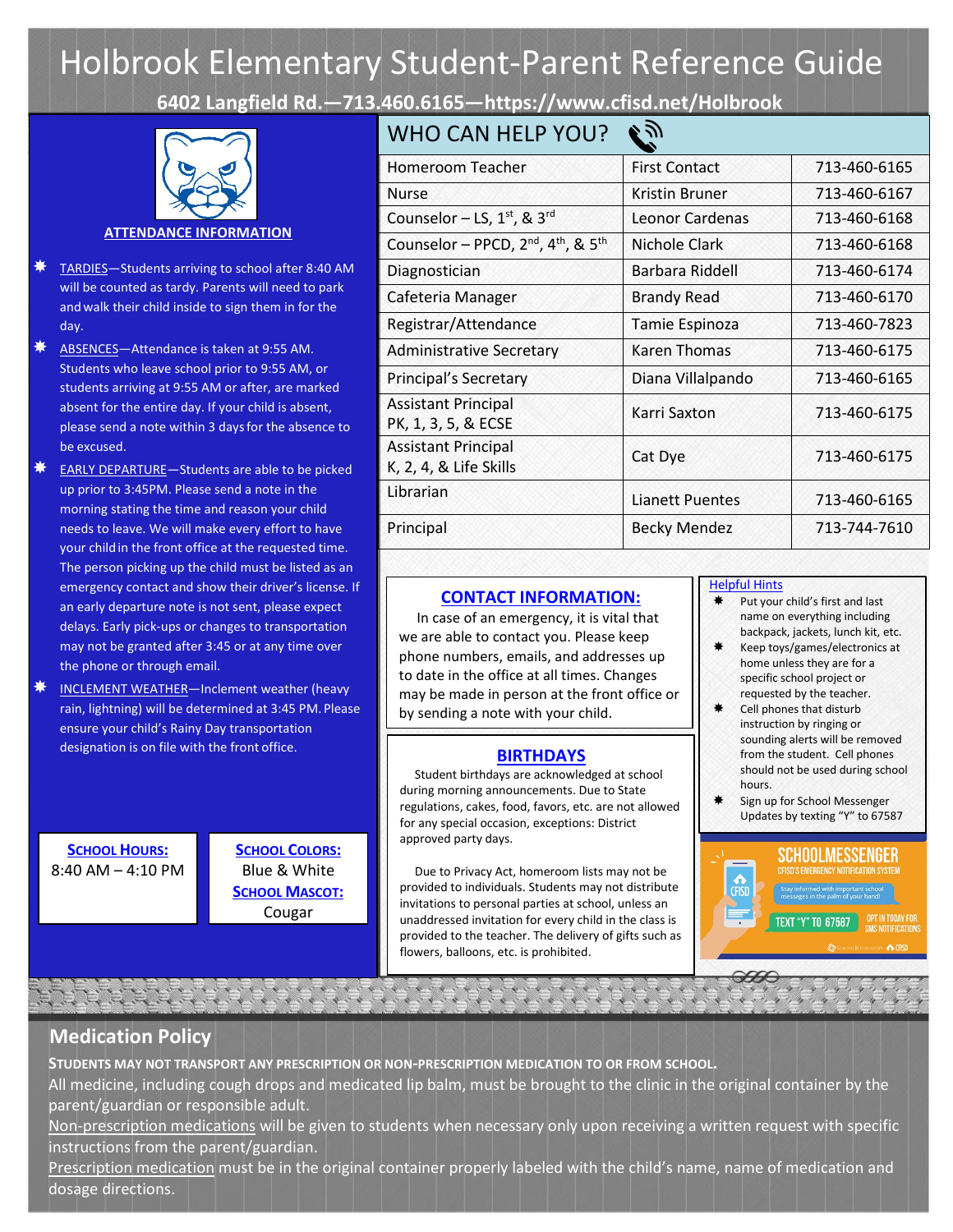# Holbrook Elementary Student-Parent Reference Guide

**6402 Langfield Rd.—713.460.616[5—https://www.cfisd.net/Holbrook](http://francone.cfisd.net/)**



#### **ATTENDANCE INFORMATION**

- TARDIES—Students arriving to school after 8:40 AM will be counted as tardy. Parents will need to park and walk their child inside to sign them in for the day.
- **ABSENCES**—Attendance is taken at 9:55 AM. Students who leave school prior to 9:55 AM, or students arriving at 9:55 AM or after, are marked absent for the entire day. If your child is absent, please send a note within 3 daysfor the absence to be excused.
- $*$  EARLY DEPARTURE Students are able to be picked up prior to 3:45PM. Please send a note in the morning stating the time and reason your child needs to leave. We will make every effort to have your childin the front office at the requested time. The person picking up the child must be listed as an emergency contact and show their driver's license. If an early departure note is not sent, please expect delays. Early pick-ups or changes to transportation may not be granted after 3:45 or at any time over the phone or through email.
- $\downdownarrows$  INCLEMENT WEATHER—Inclement weather (heavy rain, lightning) will be determined at 3:45 PM. Please ensure your child's Rainy Day transportation designation is on file with the front office.

**SCHOOL HOURS:** 8:40 AM – 4:10 PM

**SCHOOL COLORS:** Blue & White **SCHOOL MASCOT:** Cougar

# $WH$  CAN HELP YOU? AS

| <u>WHU CAN HELP YUU !</u>                                               | - 111                  |              |
|-------------------------------------------------------------------------|------------------------|--------------|
| Homeroom Teacher                                                        | <b>First Contact</b>   | 713-460-6165 |
| <b>Nurse</b>                                                            | Kristin Bruner         | 713-460-6167 |
| Counselor – LS, $1st$ , & $3rd$                                         | <b>Leonor Cardenas</b> | 713-460-6168 |
| Counselor - PPCD, 2 <sup>nd</sup> , 4 <sup>th</sup> , & 5 <sup>th</sup> | Nichole Clark          | 713-460-6168 |
| Diagnostician                                                           | Barbara Riddell        | 713-460-6174 |
| Cafeteria Manager                                                       | <b>Brandy Read</b>     | 713-460-6170 |
| Registrar/Attendance                                                    | Tamie Espinoza         | 713-460-7823 |
| <b>Administrative Secretary</b>                                         | Karen Thomas           | 713-460-6175 |
| Principal's Secretary                                                   | Diana Villalpando      | 713-460-6165 |
| <b>Assistant Principal</b><br>PK, 1, 3, 5, & ECSE                       | Karri Saxton           | 713-460-6175 |
| <b>Assistant Principal</b><br>K, 2, 4, & Life Skills                    | Cat Dye                | 713-460-6175 |
| Librarian                                                               | <b>Lianett Puentes</b> | 713-460-6165 |
| Principal                                                               | <b>Becky Mendez</b>    | 713-744-7610 |
|                                                                         |                        |              |

## **CONTACT INFORMATION:**

In case of an emergency, it is vital that we are able to contact you. Please keep phone numbers, emails, and addresses up to date in the office at all times. Changes may be made in person at the front office or by sending a note with your child.

## **BIRTHDAYS**

Student birthdays are acknowledged at school during morning announcements. Due to State regulations, cakes, food, favors, etc. are not allowed for any special occasion, exceptions: District approved party days.

Due to Privacy Act, homeroom lists may not be provided to individuals. Students may not distribute invitations to personal parties at school, unless an unaddressed invitation for every child in the class is provided to the teacher. The delivery of gifts such as flowers, balloons, etc. is prohibited.

#### Helpful Hints

- $★$  Put your child's first and last name on everything including backpack, jackets, lunch kit, etc.
- Keep toys/games/electronics at home unless they are for a specific school project or requested by the teacher.
- Cell phones that disturb instruction by ringing or sounding alerts will be removed from the student. Cell phones should not be used during school hours.
- Sign up for School Messenger Updates by texting "Y" to 67587



# **Medication Policy**

**STUDENTS MAY NOT TRANSPORT ANY PRESCRIPTION OR NON-PRESCRIPTION MEDICATION TO OR FROM SCHOOL.**

All medicine, including cough drops and medicated lip balm, must be brought to the clinic in the original container by the parent/guardian or responsible adult.

Non-prescription medications will be given to students when necessary only upon receiving a written request with specific instructions from the parent/guardian.

Prescription medication must be in the original container properly labeled with the child's name, name of medication and dosage directions.